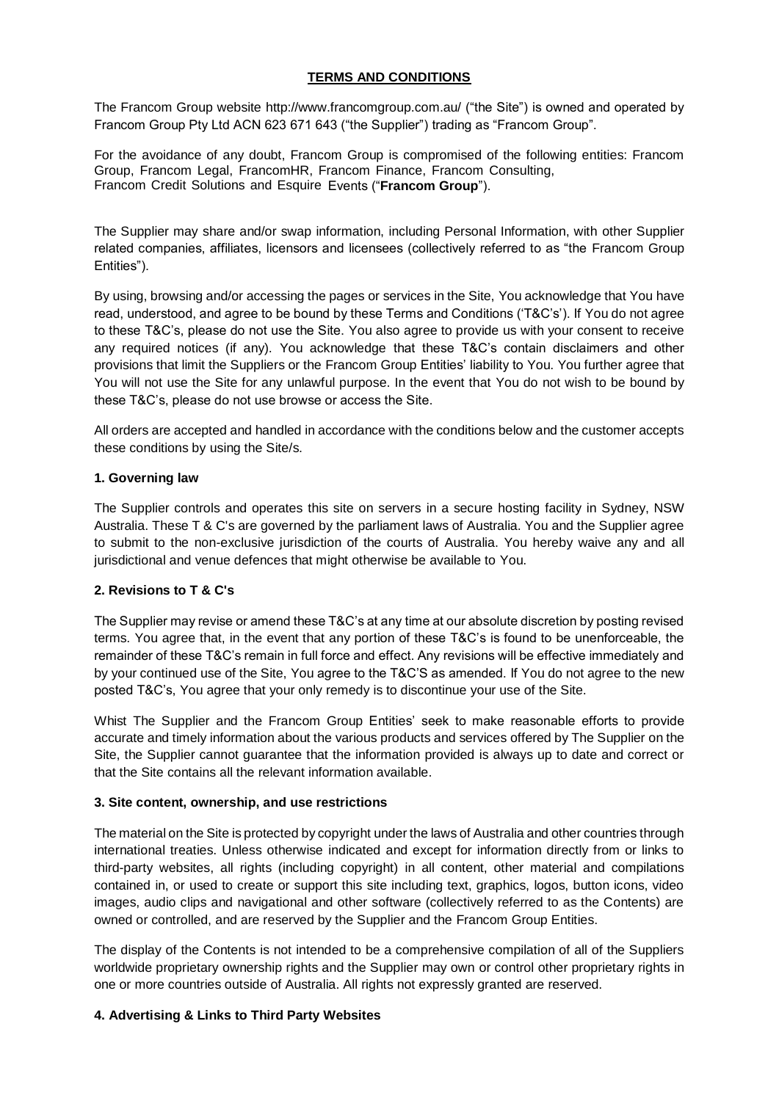### **TERMS AND CONDITIONS**

The Francom Group website http://www.francomgroup.com.au/ ("the Site") is owned and operated by Francom Group Pty Ltd ACN 623 671 643 ("the Supplier") trading as "Francom Group".

For the avoidance of any doubt, Francom Group is compromised of the following entities: Francom Group, Francom Legal, FrancomHR, Francom Finance, Francom Consulting, Francom Credit Solutions and Esquire Events ("**Francom Group**").

The Supplier may share and/or swap information, including Personal Information, with other Supplier related companies, affiliates, licensors and licensees (collectively referred to as "the Francom Group Entities").

By using, browsing and/or accessing the pages or services in the Site, You acknowledge that You have read, understood, and agree to be bound by these Terms and Conditions ('T&C's'). If You do not agree to these T&C's, please do not use the Site. You also agree to provide us with your consent to receive any required notices (if any). You acknowledge that these T&C's contain disclaimers and other provisions that limit the Suppliers or the Francom Group Entities' liability to You. You further agree that You will not use the Site for any unlawful purpose. In the event that You do not wish to be bound by these T&C's, please do not use browse or access the Site.

All orders are accepted and handled in accordance with the conditions below and the customer accepts these conditions by using the Site/s.

### **1. Governing law**

The Supplier controls and operates this site on servers in a secure hosting facility in Sydney, NSW Australia. These T & C's are governed by the parliament laws of Australia. You and the Supplier agree to submit to the non-exclusive jurisdiction of the courts of Australia. You hereby waive any and all jurisdictional and venue defences that might otherwise be available to You.

### **2. Revisions to T & C's**

The Supplier may revise or amend these T&C's at any time at our absolute discretion by posting revised terms. You agree that, in the event that any portion of these T&C's is found to be unenforceable, the remainder of these T&C's remain in full force and effect. Any revisions will be effective immediately and by your continued use of the Site, You agree to the T&C'S as amended. If You do not agree to the new posted T&C's, You agree that your only remedy is to discontinue your use of the Site.

Whist The Supplier and the Francom Group Entities' seek to make reasonable efforts to provide accurate and timely information about the various products and services offered by The Supplier on the Site, the Supplier cannot guarantee that the information provided is always up to date and correct or that the Site contains all the relevant information available.

### **3. Site content, ownership, and use restrictions**

The material on the Site is protected by copyright under the laws of Australia and other countries through international treaties. Unless otherwise indicated and except for information directly from or links to third-party websites, all rights (including copyright) in all content, other material and compilations contained in, or used to create or support this site including text, graphics, logos, button icons, video images, audio clips and navigational and other software (collectively referred to as the Contents) are owned or controlled, and are reserved by the Supplier and the Francom Group Entities.

The display of the Contents is not intended to be a comprehensive compilation of all of the Suppliers worldwide proprietary ownership rights and the Supplier may own or control other proprietary rights in one or more countries outside of Australia. All rights not expressly granted are reserved.

### **4. Advertising & Links to Third Party Websites**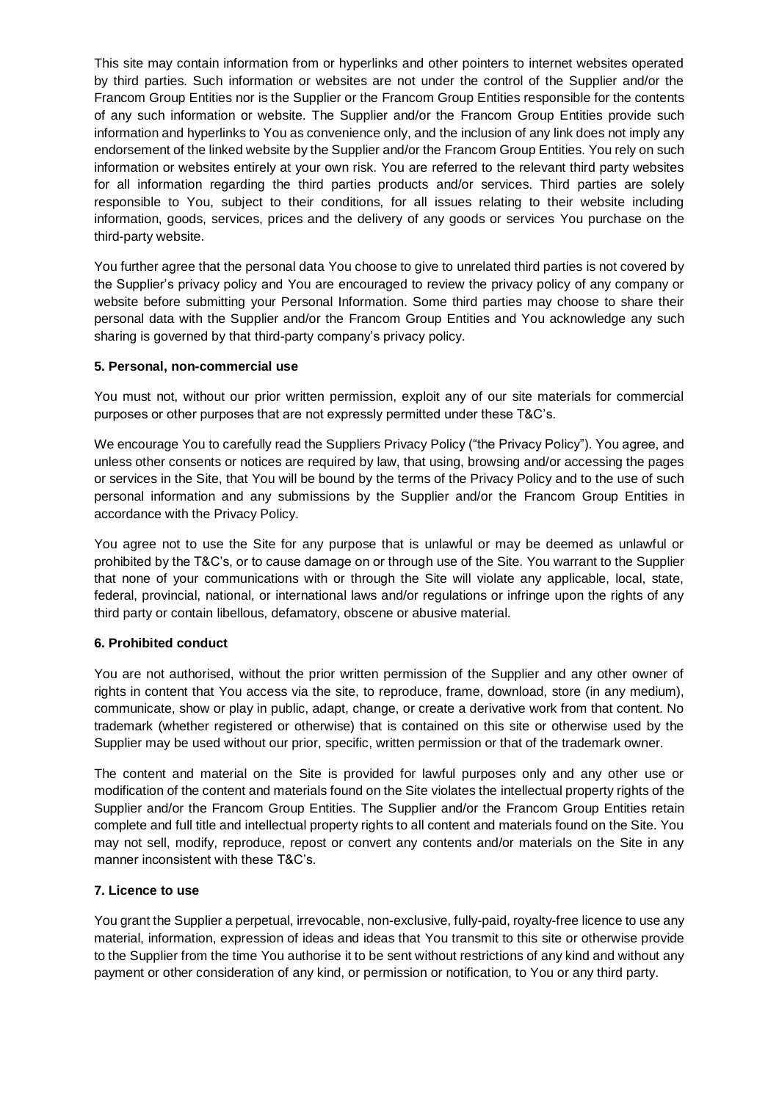This site may contain information from or hyperlinks and other pointers to internet websites operated by third parties. Such information or websites are not under the control of the Supplier and/or the Francom Group Entities nor is the Supplier or the Francom Group Entities responsible for the contents of any such information or website. The Supplier and/or the Francom Group Entities provide such information and hyperlinks to You as convenience only, and the inclusion of any link does not imply any endorsement of the linked website by the Supplier and/or the Francom Group Entities. You rely on such information or websites entirely at your own risk. You are referred to the relevant third party websites for all information regarding the third parties products and/or services. Third parties are solely responsible to You, subject to their conditions, for all issues relating to their website including information, goods, services, prices and the delivery of any goods or services You purchase on the third-party website.

You further agree that the personal data You choose to give to unrelated third parties is not covered by the Supplier's privacy policy and You are encouraged to review the privacy policy of any company or website before submitting your Personal Information. Some third parties may choose to share their personal data with the Supplier and/or the Francom Group Entities and You acknowledge any such sharing is governed by that third-party company's privacy policy.

### **5. Personal, non-commercial use**

You must not, without our prior written permission, exploit any of our site materials for commercial purposes or other purposes that are not expressly permitted under these T&C's.

We encourage You to carefully read the Suppliers Privacy Policy ("the Privacy Policy"). You agree, and unless other consents or notices are required by law, that using, browsing and/or accessing the pages or services in the Site, that You will be bound by the terms of the Privacy Policy and to the use of such personal information and any submissions by the Supplier and/or the Francom Group Entities in accordance with the Privacy Policy.

You agree not to use the Site for any purpose that is unlawful or may be deemed as unlawful or prohibited by the T&C's, or to cause damage on or through use of the Site. You warrant to the Supplier that none of your communications with or through the Site will violate any applicable, local, state, federal, provincial, national, or international laws and/or regulations or infringe upon the rights of any third party or contain libellous, defamatory, obscene or abusive material.

### **6. Prohibited conduct**

You are not authorised, without the prior written permission of the Supplier and any other owner of rights in content that You access via the site, to reproduce, frame, download, store (in any medium), communicate, show or play in public, adapt, change, or create a derivative work from that content. No trademark (whether registered or otherwise) that is contained on this site or otherwise used by the Supplier may be used without our prior, specific, written permission or that of the trademark owner.

The content and material on the Site is provided for lawful purposes only and any other use or modification of the content and materials found on the Site violates the intellectual property rights of the Supplier and/or the Francom Group Entities. The Supplier and/or the Francom Group Entities retain complete and full title and intellectual property rights to all content and materials found on the Site. You may not sell, modify, reproduce, repost or convert any contents and/or materials on the Site in any manner inconsistent with these T&C's.

### **7. Licence to use**

You grant the Supplier a perpetual, irrevocable, non-exclusive, fully-paid, royalty-free licence to use any material, information, expression of ideas and ideas that You transmit to this site or otherwise provide to the Supplier from the time You authorise it to be sent without restrictions of any kind and without any payment or other consideration of any kind, or permission or notification, to You or any third party.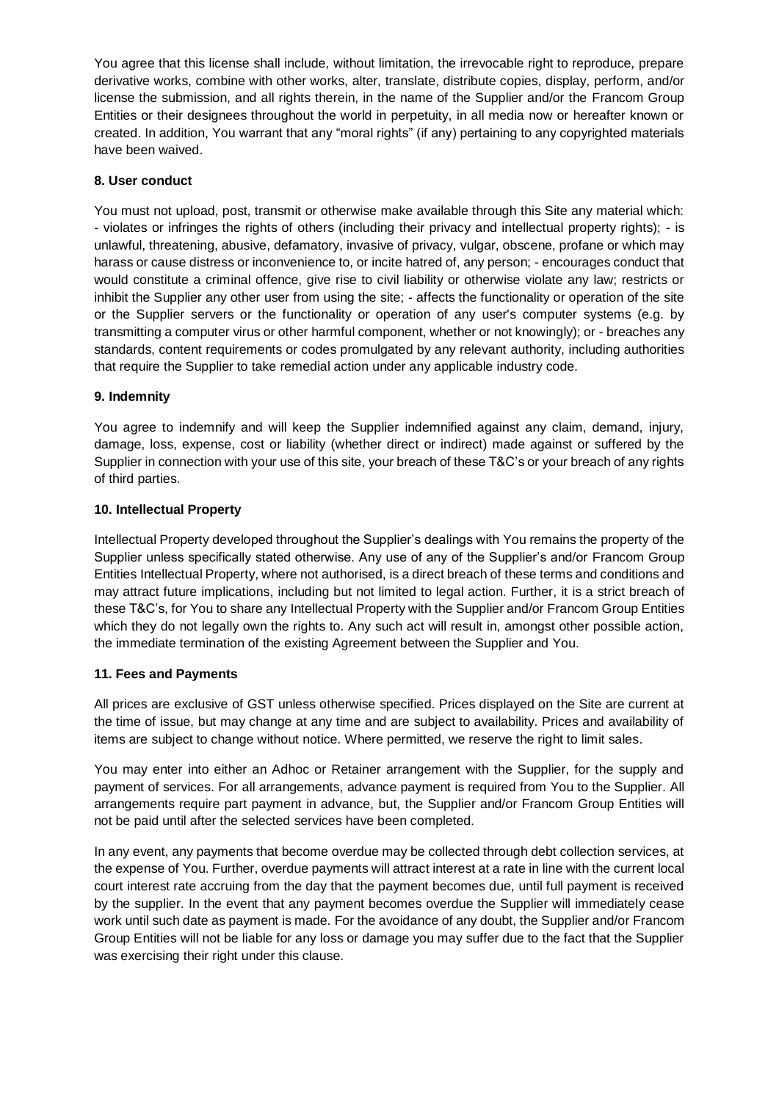You agree that this license shall include, without limitation, the irrevocable right to reproduce, prepare derivative works, combine with other works, alter, translate, distribute copies, display, perform, and/or license the submission, and all rights therein, in the name of the Supplier and/or the Francom Group Entities or their designees throughout the world in perpetuity, in all media now or hereafter known or created. In addition, You warrant that any "moral rights" (if any) pertaining to any copyrighted materials have been waived.

### **8. User conduct**

You must not upload, post, transmit or otherwise make available through this Site any material which: - violates or infringes the rights of others (including their privacy and intellectual property rights); - is unlawful, threatening, abusive, defamatory, invasive of privacy, vulgar, obscene, profane or which may harass or cause distress or inconvenience to, or incite hatred of, any person; - encourages conduct that would constitute a criminal offence, give rise to civil liability or otherwise violate any law; restricts or inhibit the Supplier any other user from using the site; - affects the functionality or operation of the site or the Supplier servers or the functionality or operation of any user's computer systems (e.g. by transmitting a computer virus or other harmful component, whether or not knowingly); or - breaches any standards, content requirements or codes promulgated by any relevant authority, including authorities that require the Supplier to take remedial action under any applicable industry code.

### **9. Indemnity**

You agree to indemnify and will keep the Supplier indemnified against any claim, demand, injury, damage, loss, expense, cost or liability (whether direct or indirect) made against or suffered by the Supplier in connection with your use of this site, your breach of these T&C's or your breach of any rights of third parties.

### **10. Intellectual Property**

Intellectual Property developed throughout the Supplier's dealings with You remains the property of the Supplier unless specifically stated otherwise. Any use of any of the Supplier's and/or Francom Group Entities Intellectual Property, where not authorised, is a direct breach of these terms and conditions and may attract future implications, including but not limited to legal action. Further, it is a strict breach of these T&C's, for You to share any Intellectual Property with the Supplier and/or Francom Group Entities which they do not legally own the rights to. Any such act will result in, amongst other possible action, the immediate termination of the existing Agreement between the Supplier and You.

### **11. Fees and Payments**

All prices are exclusive of GST unless otherwise specified. Prices displayed on the Site are current at the time of issue, but may change at any time and are subject to availability. Prices and availability of items are subject to change without notice. Where permitted, we reserve the right to limit sales.

You may enter into either an Adhoc or Retainer arrangement with the Supplier, for the supply and payment of services. For all arrangements, advance payment is required from You to the Supplier. All arrangements require part payment in advance, but, the Supplier and/or Francom Group Entities will not be paid until after the selected services have been completed.

In any event, any payments that become overdue may be collected through debt collection services, at the expense of You. Further, overdue payments will attract interest at a rate in line with the current local court interest rate accruing from the day that the payment becomes due, until full payment is received by the supplier. In the event that any payment becomes overdue the Supplier will immediately cease work until such date as payment is made. For the avoidance of any doubt, the Supplier and/or Francom Group Entities will not be liable for any loss or damage you may suffer due to the fact that the Supplier was exercising their right under this clause.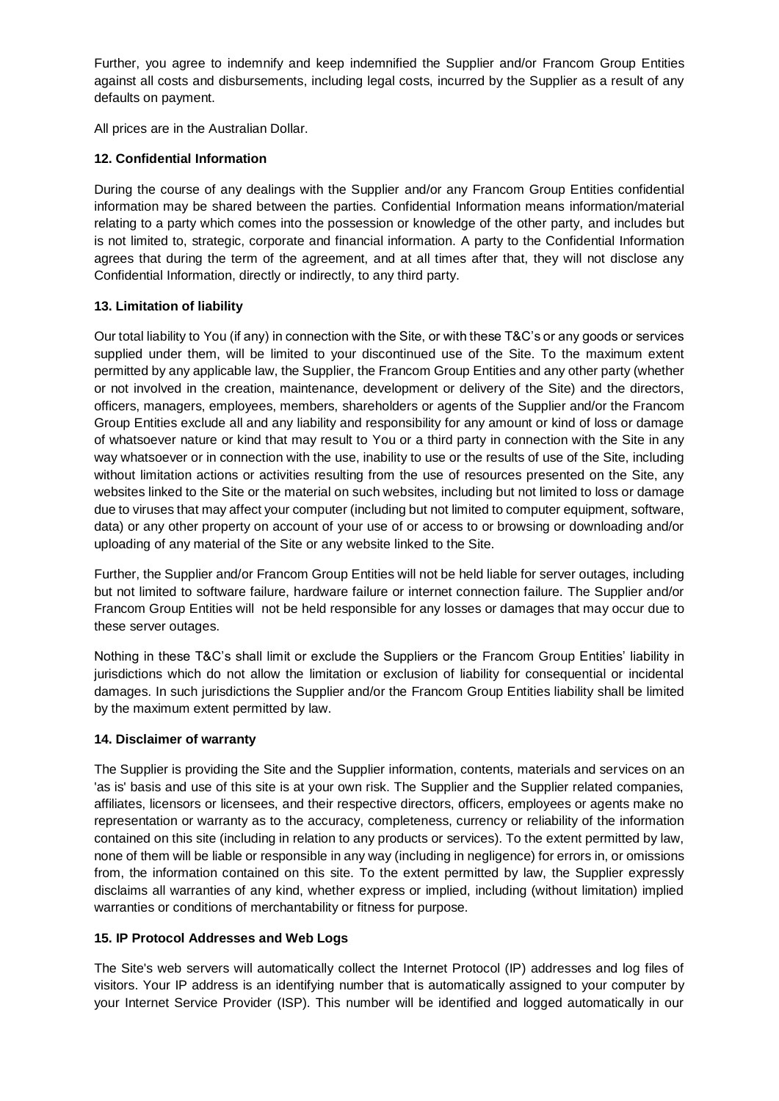Further, you agree to indemnify and keep indemnified the Supplier and/or Francom Group Entities against all costs and disbursements, including legal costs, incurred by the Supplier as a result of any defaults on payment.

All prices are in the Australian Dollar.

## **12. Confidential Information**

During the course of any dealings with the Supplier and/or any Francom Group Entities confidential information may be shared between the parties. Confidential Information means information/material relating to a party which comes into the possession or knowledge of the other party, and includes but is not limited to, strategic, corporate and financial information. A party to the Confidential Information agrees that during the term of the agreement, and at all times after that, they will not disclose any Confidential Information, directly or indirectly, to any third party.

### **13. Limitation of liability**

Our total liability to You (if any) in connection with the Site, or with these T&C's or any goods or services supplied under them, will be limited to your discontinued use of the Site. To the maximum extent permitted by any applicable law, the Supplier, the Francom Group Entities and any other party (whether or not involved in the creation, maintenance, development or delivery of the Site) and the directors, officers, managers, employees, members, shareholders or agents of the Supplier and/or the Francom Group Entities exclude all and any liability and responsibility for any amount or kind of loss or damage of whatsoever nature or kind that may result to You or a third party in connection with the Site in any way whatsoever or in connection with the use, inability to use or the results of use of the Site, including without limitation actions or activities resulting from the use of resources presented on the Site, any websites linked to the Site or the material on such websites, including but not limited to loss or damage due to viruses that may affect your computer (including but not limited to computer equipment, software, data) or any other property on account of your use of or access to or browsing or downloading and/or uploading of any material of the Site or any website linked to the Site.

Further, the Supplier and/or Francom Group Entities will not be held liable for server outages, including but not limited to software failure, hardware failure or internet connection failure. The Supplier and/or Francom Group Entities will not be held responsible for any losses or damages that may occur due to these server outages.

Nothing in these T&C's shall limit or exclude the Suppliers or the Francom Group Entities' liability in jurisdictions which do not allow the limitation or exclusion of liability for consequential or incidental damages. In such jurisdictions the Supplier and/or the Francom Group Entities liability shall be limited by the maximum extent permitted by law.

### **14. Disclaimer of warranty**

The Supplier is providing the Site and the Supplier information, contents, materials and services on an 'as is' basis and use of this site is at your own risk. The Supplier and the Supplier related companies, affiliates, licensors or licensees, and their respective directors, officers, employees or agents make no representation or warranty as to the accuracy, completeness, currency or reliability of the information contained on this site (including in relation to any products or services). To the extent permitted by law, none of them will be liable or responsible in any way (including in negligence) for errors in, or omissions from, the information contained on this site. To the extent permitted by law, the Supplier expressly disclaims all warranties of any kind, whether express or implied, including (without limitation) implied warranties or conditions of merchantability or fitness for purpose.

### **15. IP Protocol Addresses and Web Logs**

The Site's web servers will automatically collect the Internet Protocol (IP) addresses and log files of visitors. Your IP address is an identifying number that is automatically assigned to your computer by your Internet Service Provider (ISP). This number will be identified and logged automatically in our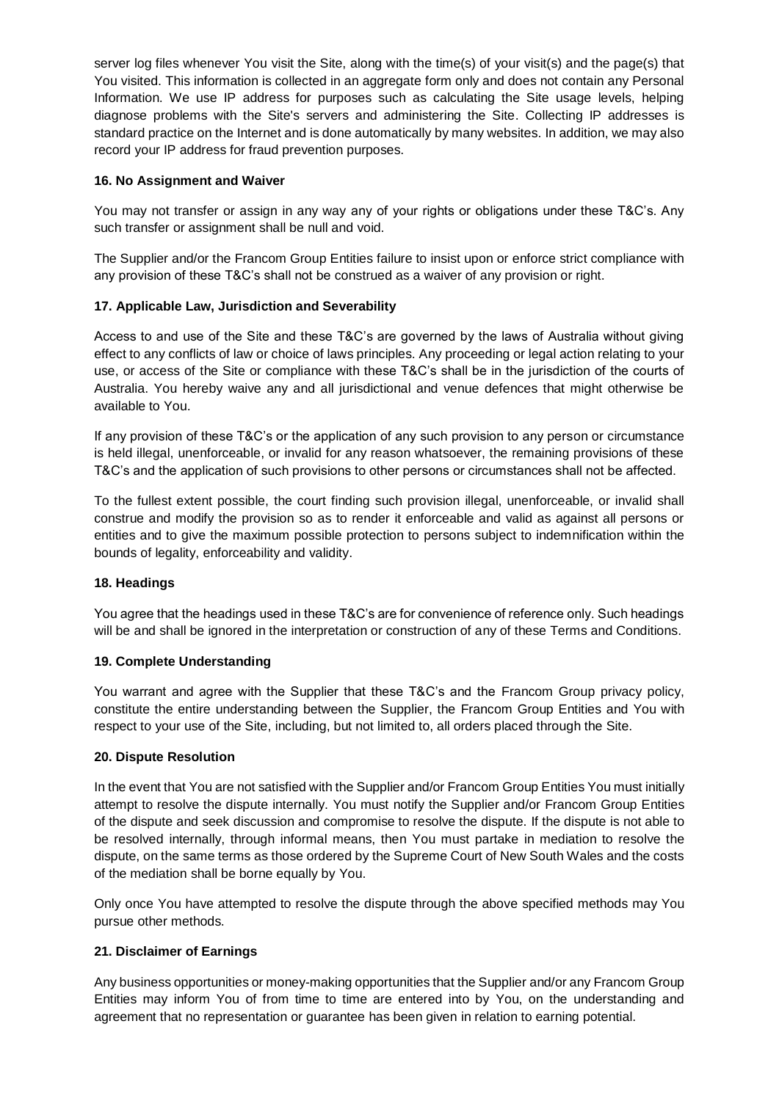server log files whenever You visit the Site, along with the time(s) of your visit(s) and the page(s) that You visited. This information is collected in an aggregate form only and does not contain any Personal Information. We use IP address for purposes such as calculating the Site usage levels, helping diagnose problems with the Site's servers and administering the Site. Collecting IP addresses is standard practice on the Internet and is done automatically by many websites. In addition, we may also record your IP address for fraud prevention purposes.

### **16. No Assignment and Waiver**

You may not transfer or assign in any way any of your rights or obligations under these T&C's. Any such transfer or assignment shall be null and void.

The Supplier and/or the Francom Group Entities failure to insist upon or enforce strict compliance with any provision of these T&C's shall not be construed as a waiver of any provision or right.

### **17. Applicable Law, Jurisdiction and Severability**

Access to and use of the Site and these T&C's are governed by the laws of Australia without giving effect to any conflicts of law or choice of laws principles. Any proceeding or legal action relating to your use, or access of the Site or compliance with these T&C's shall be in the jurisdiction of the courts of Australia. You hereby waive any and all jurisdictional and venue defences that might otherwise be available to You.

If any provision of these T&C's or the application of any such provision to any person or circumstance is held illegal, unenforceable, or invalid for any reason whatsoever, the remaining provisions of these T&C's and the application of such provisions to other persons or circumstances shall not be affected.

To the fullest extent possible, the court finding such provision illegal, unenforceable, or invalid shall construe and modify the provision so as to render it enforceable and valid as against all persons or entities and to give the maximum possible protection to persons subject to indemnification within the bounds of legality, enforceability and validity.

### **18. Headings**

You agree that the headings used in these T&C's are for convenience of reference only. Such headings will be and shall be ignored in the interpretation or construction of any of these Terms and Conditions.

### **19. Complete Understanding**

You warrant and agree with the Supplier that these T&C's and the Francom Group privacy policy, constitute the entire understanding between the Supplier, the Francom Group Entities and You with respect to your use of the Site, including, but not limited to, all orders placed through the Site.

### **20. Dispute Resolution**

In the event that You are not satisfied with the Supplier and/or Francom Group Entities You must initially attempt to resolve the dispute internally. You must notify the Supplier and/or Francom Group Entities of the dispute and seek discussion and compromise to resolve the dispute. If the dispute is not able to be resolved internally, through informal means, then You must partake in mediation to resolve the dispute, on the same terms as those ordered by the Supreme Court of New South Wales and the costs of the mediation shall be borne equally by You.

Only once You have attempted to resolve the dispute through the above specified methods may You pursue other methods.

### **21. Disclaimer of Earnings**

Any business opportunities or money-making opportunities that the Supplier and/or any Francom Group Entities may inform You of from time to time are entered into by You, on the understanding and agreement that no representation or guarantee has been given in relation to earning potential.